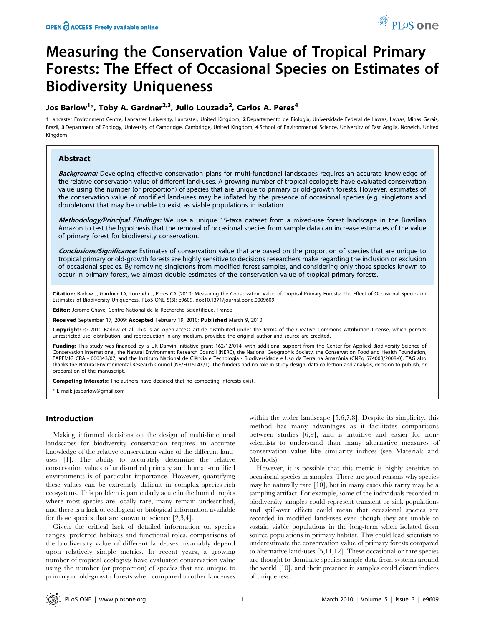# Measuring the Conservation Value of Tropical Primary Forests: The Effect of Occasional Species on Estimates of Biodiversity Uniqueness

# Jos Barlow<sup>1</sup>\*, Toby A. Gardner<sup>2,3</sup>, Julio Louzada<sup>2</sup>, Carlos A. Peres<sup>4</sup>

1 Lancaster Environment Centre, Lancaster University, Lancaster, United Kingdom, 2Departamento de Biologia, Universidade Federal de Lavras, Lavras, Minas Gerais, Brazil, 3 Department of Zoology, University of Cambridge, Cambridge, United Kingdom, 4 School of Environmental Science, University of East Anglia, Norwich, United Kingdom

# Abstract

Background: Developing effective conservation plans for multi-functional landscapes requires an accurate knowledge of the relative conservation value of different land-uses. A growing number of tropical ecologists have evaluated conservation value using the number (or proportion) of species that are unique to primary or old-growth forests. However, estimates of the conservation value of modified land-uses may be inflated by the presence of occasional species (e.g. singletons and doubletons) that may be unable to exist as viable populations in isolation.

Methodology/Principal Findings: We use a unique 15-taxa dataset from a mixed-use forest landscape in the Brazilian Amazon to test the hypothesis that the removal of occasional species from sample data can increase estimates of the value of primary forest for biodiversity conservation.

Conclusions/Significance: Estimates of conservation value that are based on the proportion of species that are unique to tropical primary or old-growth forests are highly sensitive to decisions researchers make regarding the inclusion or exclusion of occasional species. By removing singletons from modified forest samples, and considering only those species known to occur in primary forest, we almost double estimates of the conservation value of tropical primary forests.

Citation: Barlow J, Gardner TA, Louzada J, Peres CA (2010) Measuring the Conservation Value of Tropical Primary Forests: The Effect of Occasional Species on Estimates of Biodiversity Uniqueness. PLoS ONE 5(3): e9609. doi:10.1371/journal.pone.0009609

Editor: Jerome Chave, Centre National de la Recherche Scientifique, France

Received September 17, 2009; Accepted February 19, 2010; Published March 9, 2010

Copyright: © 2010 Barlow et al. This is an open-access article distributed under the terms of the Creative Commons Attribution License, which permits unrestricted use, distribution, and reproduction in any medium, provided the original author and source are credited.

Funding: This study was financed by a UK Darwin Initiative grant 162/12/014, with additional support from the Center for Applied Biodiversity Science of Conservation International, the Natural Environment Research Council (NERC), the National Geographic Society, the Conservation Food and Health Foundation, FAPEMIG CRA - 000343/07, and the Instituto Nacional de Ciência e Tecnologia - Biodiversidade e Uso da Terra na Amazônia (CNPq 574008/2008-0). TAG also thanks the Natural Environmental Research Council (NE/F01614X/1). The funders had no role in study design, data collection and analysis, decision to publish, or preparation of the manuscript.

Competing Interests: The authors have declared that no competing interests exist.

\* E-mail: josbarlow@gmail.com

# Introduction

Making informed decisions on the design of multi-functional landscapes for biodiversity conservation requires an accurate knowledge of the relative conservation value of the different landuses [1]. The ability to accurately determine the relative conservation values of undisturbed primary and human-modified environments is of particular importance. However, quantifying these values can be extremely difficult in complex species-rich ecosystems. This problem is particularly acute in the humid tropics where most species are locally rare, many remain undescribed, and there is a lack of ecological or biological information available for those species that are known to science [2,3,4].

Given the critical lack of detailed information on species ranges, preferred habitats and functional roles, comparisons of the biodiversity value of different land-uses invariably depend upon relatively simple metrics. In recent years, a growing number of tropical ecologists have evaluated conservation value using the number (or proportion) of species that are unique to primary or old-growth forests when compared to other land-uses

within the wider landscape [5,6,7,8]. Despite its simplicity, this method has many advantages as it facilitates comparisons between studies [6,9], and is intuitive and easier for nonscientists to understand than many alternative measures of conservation value like similarity indices (see Materials and Methods).

However, it is possible that this metric is highly sensitive to occasional species in samples. There are good reasons why species may be naturally rare [10], but in many cases this rarity may be a sampling artifact. For example, some of the individuals recorded in biodiversity samples could represent transient or sink populations and spill-over effects could mean that occasional species are recorded in modified land-uses even though they are unable to sustain viable populations in the long-term when isolated from source populations in primary habitat. This could lead scientists to underestimate the conservation value of primary forests compared to alternative land-uses [5,11,12]. These occasional or rare species are thought to dominate species sample data from systems around the world [10], and their presence in samples could distort indices of uniqueness.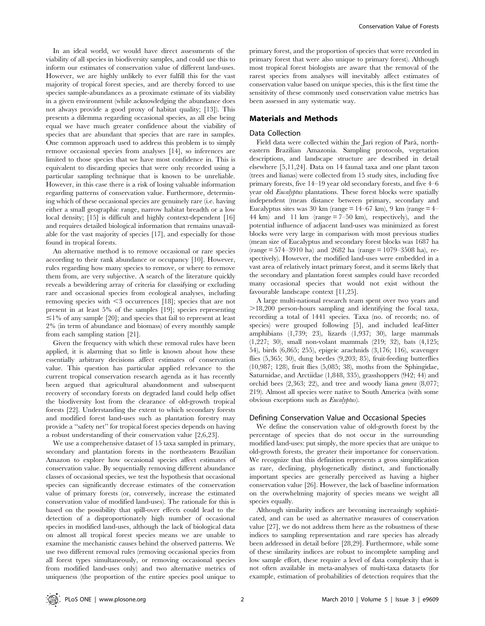In an ideal world, we would have direct assessments of the viability of all species in biodiversity samples, and could use this to inform our estimates of conservation value of different land-uses. However, we are highly unlikely to ever fulfill this for the vast majority of tropical forest species, and are thereby forced to use species sample-abundances as a proximate estimate of its viability in a given environment (while acknowledging the abundance does not always provide a good proxy of habitat quality; [13]). This presents a dilemma regarding occasional species, as all else being equal we have much greater confidence about the viability of species that are abundant that species that are rare in samples. One common approach used to address this problem is to simply remove occasional species from analyses [14], so inferences are limited to those species that we have most confidence in. This is equivalent to discarding species that were only recorded using a particular sampling technique that is known to be unreliable. However, in this case there is a risk of losing valuable information regarding patterns of conservation value. Furthermore, determining which of these occasional species are genuinely rare (i.e. having either a small geographic range, narrow habitat breadth or a low local density; [15] is difficult and highly context-dependent [16] and requires detailed biological information that remains unavailable for the vast majority of species [17], and especially for those found in tropical forests.

An alternative method is to remove occasional or rare species according to their rank abundance or occupancy [10]. However, rules regarding how many species to remove, or where to remove them from, are very subjective. A search of the literature quickly reveals a bewildering array of criteria for classifying or excluding rare and occasional species from ecological analyses, including removing species with <3 occurrences [18]; species that are not present in at least 5% of the samples [19]; species representing  $\leq$ 1% of any sample [20]; and species that fail to represent at least 2% (in term of abundance and biomass) of every monthly sample from each sampling station [21].

Given the frequency with which these removal rules have been applied, it is alarming that so little is known about how these essentially arbitrary decisions affect estimates of conservation value. This question has particular applied relevance to the current tropical conservation research agenda as it has recently been argued that agricultural abandonment and subsequent recovery of secondary forests on degraded land could help offset the biodiversity lost from the clearance of old-growth tropical forests [22]. Understanding the extent to which secondary forests and modified forest land-uses such as plantation forestry may provide a ''safety net'' for tropical forest species depends on having a robust understanding of their conservation value [2,6,23].

We use a comprehensive dataset of 15 taxa sampled in primary, secondary and plantation forests in the northeastern Brazilian Amazon to explore how occasional species affect estimates of conservation value. By sequentially removing different abundance classes of occasional species, we test the hypothesis that occasional species can significantly decrease estimates of the conservation value of primary forests (or, conversely, increase the estimated conservation value of modified land-uses). The rationale for this is based on the possibility that spill-over effects could lead to the detection of a disproportionately high number of occasional species in modified land-uses, although the lack of biological data on almost all tropical forest species means we are unable to examine the mechanistic causes behind the observed patterns. We use two different removal rules (removing occasional species from all forest types simultaneously, or removing occasional species from modified land-uses only) and two alternative metrics of uniqueness (the proportion of the entire species pool unique to

primary forest, and the proportion of species that were recorded in primary forest that were also unique to primary forest). Although most tropical forest biologists are aware that the removal of the rarest species from analyses will inevitably affect estimates of conservation value based on unique species, this is the first time the sensitivity of these commonly used conservation value metrics has been assessed in any systematic way.

#### Materials and Methods

## Data Collection

Field data were collected within the Jari region of Pará, northeastern Brazilian Amazonia. Sampling protocols, vegetation descriptions, and landscape structure are described in detail elsewhere [5,11,24]. Data on 14 faunal taxa and one plant taxon (trees and lianas) were collected from 15 study sites, including five primary forests, five 14–19 year old secondary forests, and five 4–6 year old Eucalyptus plantations. These forest blocks were spatially independent (mean distance between primary, secondary and Eucalyptus sites was 30 km (range  $= 14-67$  km), 9 km (range  $= 4-$ 44 km) and 11 km (range  $= 7-50$  km), respectively), and the potential influence of adjacent land-uses was minimized as forest blocks were very large in comparison with most previous studies (mean size of Eucalyptus and secondary forest blocks was 1687 ha  $(range = 574-3910$  ha) and 2682 ha  $(range = 1079-3508$  ha), respectively). However, the modified land-uses were embedded in a vast area of relatively intact primary forest, and it seems likely that the secondary and plantation forest samples could have recorded many occasional species that would not exist without the favourable landscape context [11,25].

A large multi-national research team spent over two years and  $>18,200$  person-hours sampling and identifying the focal taxa, recording a total of 1441 species. Taxa (no. of records; no. of species) were grouped following [5], and included leaf-litter amphibians (1,739; 23), lizards (1,937; 30), large mammals (1,227; 30), small non-volant mammals (219; 32), bats (4,125; 54), birds (6,865; 255), epigeic arachnids (3,176; 116), scavenger flies (5,365; 30), dung beetles (9,203; 85), fruit-feeding butterflies (10,987; 128), fruit flies (5,085; 38), moths from the Sphingidae, Saturnidae, and Arctiidae (1,848, 335), grasshoppers (942; 44) and orchid bees (2,363; 22), and tree and woody liana genera (8,077; 219). Almost all species were native to South America (with some obvious exceptions such as Eucalyptus).

## Defining Conservation Value and Occasional Species

We define the conservation value of old-growth forest by the percentage of species that do not occur in the surrounding modified land-uses: put simply, the more species that are unique to old-growth forests, the greater their importance for conservation. We recognize that this definition represents a gross simplification as rare, declining, phylogenetically distinct, and functionally important species are generally perceived as having a higher conservation value [26]. However, the lack of baseline information on the overwhelming majority of species means we weight all species equally.

Although similarity indices are becoming increasingly sophisticated, and can be used as alternative measures of conservation value [27], we do not address them here as the robustness of these indices to sampling representation and rare species has already been addressed in detail before [28,29]. Furthermore, while some of these similarity indices are robust to incomplete sampling and low sample effort, these require a level of data complexity that is not often available in meta-analyses of multi-taxa datasets (for example, estimation of probabilities of detection requires that the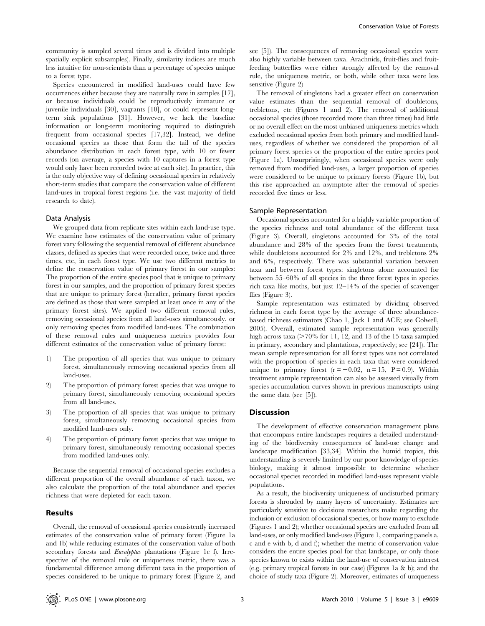community is sampled several times and is divided into multiple spatially explicit subsamples). Finally, similarity indices are much less intuitive for non-scientists than a percentage of species unique to a forest type.

Species encountered in modified land-uses could have few occurrences either because they are naturally rare in samples [17], or because individuals could be reproductively immature or juvenile individuals [30], vagrants [10], or could represent longterm sink populations [31]. However, we lack the baseline information or long-term monitoring required to distinguish frequent from occasional species [17,32]. Instead, we define occasional species as those that form the tail of the species abundance distribution in each forest type, with 10 or fewer records (on average, a species with 10 captures in a forest type would only have been recorded twice at each site). In practice, this is the only objective way of defining occasional species in relatively short-term studies that compare the conservation value of different land-uses in tropical forest regions (i.e. the vast majority of field research to date).

# Data Analysis

We grouped data from replicate sites within each land-use type. We examine how estimates of the conservation value of primary forest vary following the sequential removal of different abundance classes, defined as species that were recorded once, twice and three times, etc, in each forest type. We use two different metrics to define the conservation value of primary forest in our samples: The proportion of the entire species pool that is unique to primary forest in our samples, and the proportion of primary forest species that are unique to primary forest (herafter, primary forest species are defined as those that were sampled at least once in any of the primary forest sites). We applied two different removal rules, removing occasional species from all land-uses simultaneously, or only removing species from modified land-uses. The combination of these removal rules and uniqueness metrics provides four different estimates of the conservation value of primary forest:

- 1) The proportion of all species that was unique to primary forest, simultaneously removing occasional species from all land-uses.
- 2) The proportion of primary forest species that was unique to primary forest, simultaneously removing occasional species from all land-uses.
- 3) The proportion of all species that was unique to primary forest, simultaneously removing occasional species from modified land-uses only.
- 4) The proportion of primary forest species that was unique to primary forest, simultaneously removing occasional species from modified land-uses only.

Because the sequential removal of occasional species excludes a different proportion of the overall abundance of each taxon, we also calculate the proportion of the total abundance and species richness that were depleted for each taxon.

# Results

Overall, the removal of occasional species consistently increased estimates of the conservation value of primary forest (Figure 1a and 1b) while reducing estimates of the conservation value of both secondary forests and Eucalyptus plantations (Figure 1c-f). Irrespective of the removal rule or uniqueness metric, there was a fundamental difference among different taxa in the proportion of species considered to be unique to primary forest (Figure 2, and see [5]). The consequences of removing occasional species were also highly variable between taxa. Arachnids, fruit-flies and fruitfeeding butterflies were either strongly affected by the removal rule, the uniqueness metric, or both, while other taxa were less sensitive (Figure 2)

The removal of singletons had a greater effect on conservation value estimates than the sequential removal of doubletons, trebletons, etc (Figures 1 and 2). The removal of additional occasional species (those recorded more than three times) had little or no overall effect on the most unbiased uniqueness metrics which excluded occasional species from both primary and modified landuses, regardless of whether we considered the proportion of all primary forest species or the proportion of the entire species pool (Figure 1a). Unsurprisingly, when occasional species were only removed from modified land-uses, a larger proportion of species were considered to be unique to primary forests (Figure 1b), but this rise approached an asymptote after the removal of species recorded five times or less.

#### Sample Representation

Occasional species accounted for a highly variable proportion of the species richness and total abundance of the different taxa (Figure 3). Overall, singletons accounted for 3% of the total abundance and 28% of the species from the forest treatments, while doubletons accounted for 2% and 12%, and trebletons 2% and 6%, respectively. There was substantial variation between taxa and between forest types: singletons alone accounted for between 55–60% of all species in the three forest types in species rich taxa like moths, but just 12–14% of the species of scavenger flies (Figure 3).

Sample representation was estimated by dividing observed richness in each forest type by the average of three abundancebased richness estimators (Chao 1, Jack 1 and ACE; see Colwell, 2005). Overall, estimated sample representation was generally high across taxa ( $>70\%$  for 11, 12, and 13 of the 15 taxa sampled in primary, secondary and plantations, respectively; see [24]). The mean sample representation for all forest types was not correlated with the proportion of species in each taxa that were considered unique to primary forest  $(r = -0.02, n = 15, P = 0.9)$ . Within treatment sample representation can also be assessed visually from species accumulation curves shown in previous manuscripts using the same data (see [5]).

#### **Discussion**

The development of effective conservation management plans that encompass entire landscapes requires a detailed understanding of the biodiversity consequences of land-use change and landscape modification [33,34]. Within the humid tropics, this understanding is severely limited by our poor knowledge of species biology, making it almost impossible to determine whether occasional species recorded in modified land-uses represent viable populations.

As a result, the biodiversity uniqueness of undisturbed primary forests is shrouded by many layers of uncertainty. Estimates are particularly sensitive to decisions researchers make regarding the inclusion or exclusion of occasional species, or how many to exclude (Figures 1 and 2); whether occasional species are excluded from all land-uses, or only modified land-uses (Figure 1, comparing panels a, c and e with b, d and f); whether the metric of conservation value considers the entire species pool for that landscape, or only those species known to exists within the land-use of conservation interest (e.g. primary tropical forests in our case) (Figures 1a & b); and the choice of study taxa (Figure 2). Moreover, estimates of uniqueness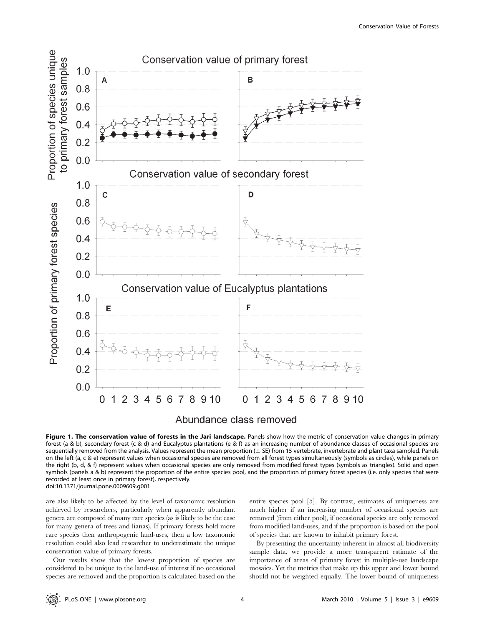

Abundance class removed

Figure 1. The conservation value of forests in the Jari landscape. Panels show how the metric of conservation value changes in primary forest (a & b), secondary forest (c & d) and Eucalyptus plantations (e & f) as an increasing number of abundance classes of occasional species are sequentially removed from the analysis. Values represent the mean proportion ( $\pm$  SE) from 15 vertebrate, invertebrate and plant taxa sampled. Panels on the left (a, c & e) represent values when occasional species are removed from all forest types simultaneously (symbols as circles), while panels on the right (b, d, & f) represent values when occasional species are only removed from modified forest types (symbols as triangles). Solid and open symbols (panels a & b) represent the proportion of the entire species pool, and the proportion of primary forest species (i.e. only species that were recorded at least once in primary forest), respectively. doi:10.1371/journal.pone.0009609.g001

are also likely to be affected by the level of taxonomic resolution achieved by researchers, particularly when apparently abundant genera are composed of many rare species (as is likely to be the case for many genera of trees and lianas). If primary forests hold more rare species then anthropogenic land-uses, then a low taxonomic resolution could also lead researcher to underestimate the unique conservation value of primary forests.

Our results show that the lowest proportion of species are considered to be unique to the land-use of interest if no occasional species are removed and the proportion is calculated based on the entire species pool [5]. By contrast, estimates of uniqueness are much higher if an increasing number of occasional species are removed (from either pool), if occasional species are only removed from modified land-uses, and if the proportion is based on the pool of species that are known to inhabit primary forest.

By presenting the uncertainty inherent in almost all biodiversity sample data, we provide a more transparent estimate of the importance of areas of primary forest in multiple-use landscape mosaics. Yet the metrics that make up this upper and lower bound should not be weighted equally. The lower bound of uniqueness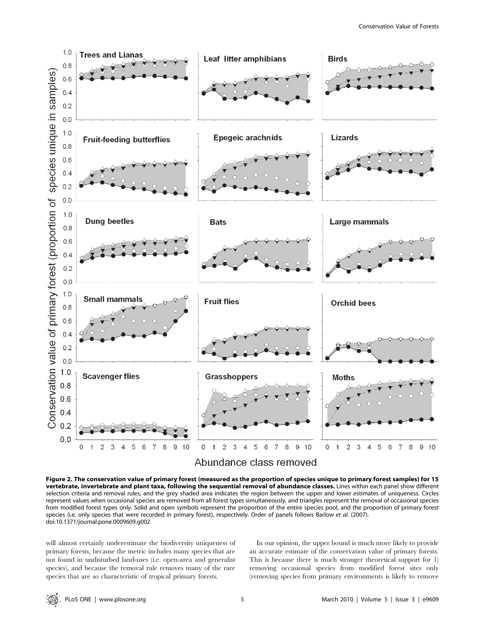

Figure 2. The conservation value of primary forest (measured as the proportion of species unique to primary forest samples) for 15 vertebrate, invertebrate and plant taxa, following the sequential removal of abundance classes. Lines within each panel show different selection criteria and removal rules, and the grey shaded area indicates the region between the upper and lower estimates of uniqueness. Circles represent values when occasional species are removed from all forest types simultaneously, and triangles represent the removal of occasional species from modified forest types only. Solid and open symbols represent the proportion of the entire species pool, and the proportion of primary forest species (i.e. only species that were recorded in primary forest), respectively. Order of panels follows Barlow et al. (2007). doi:10.1371/journal.pone.0009609.g002

will almost certainly underestimate the biodiversity uniqueness of primary forests, because the metric includes many species that are not found in undisturbed land-uses (i.e. open-area and generalist species), and because the removal rule removes many of the rare species that are so characteristic of tropical primary forests.

In our opinion, the upper bound is much more likely to provide an accurate estimate of the conservation value of primary forests. This is because there is much stronger theoretical support for 1) removing occasional species from modified forest sites only (removing species from primary environments is likely to remove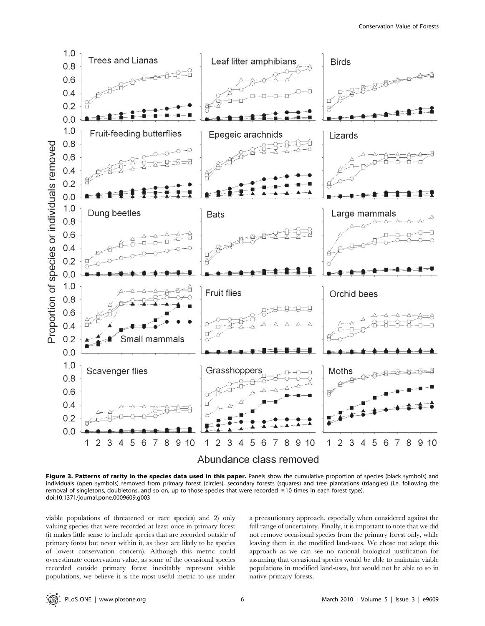

Figure 3. Patterns of rarity in the species data used in this paper. Panels show the cumulative proportion of species (black symbols) and individuals (open symbols) removed from primary forest (circles), secondary forests (squares) and tree plantations (triangles) (i.e. following the removal of singletons, doubletons, and so on, up to those species that were recorded  $\leq 10$  times in each forest type). doi:10.1371/journal.pone.0009609.g003

viable populations of threatened or rare species) and 2) only valuing species that were recorded at least once in primary forest (it makes little sense to include species that are recorded outside of primary forest but never within it, as these are likely to be species of lowest conservation concern). Although this metric could overestimate conservation value, as some of the occasional species recorded outside primary forest inevitably represent viable populations, we believe it is the most useful metric to use under a precautionary approach, especially when considered against the full range of uncertainty. Finally, it is important to note that we did not remove occasional species from the primary forest only, while leaving them in the modified land-uses. We chose not adopt this approach as we can see no rational biological justification for assuming that occasional species would be able to maintain viable populations in modified land-uses, but would not be able to so in native primary forests.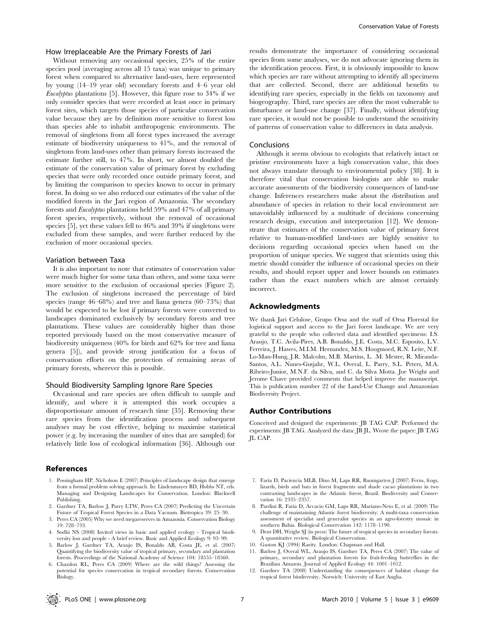### How Irreplaceable Are the Primary Forests of Jari

Without removing any occasional species, 25% of the entire species pool (averaging across all 15 taxa) was unique to primary forest when compared to alternative land-uses, here represented by young (14–19 year old) secondary forests and 4–6 year old Eucalyptus plantations [5]. However, this figure rose to 34% if we only consider species that were recorded at least once in primary forest sites, which targets those species of particular conservation value because they are by definition more sensitive to forest loss than species able to inhabit anthropogenic environments. The removal of singletons from all forest types increased the average estimate of biodiversity uniqueness to 41%, and the removal of singletons from land-uses other than primary forests increased the estimate further still, to 47%. In short, we almost doubled the estimate of the conservation value of primary forest by excluding species that were only recorded once outside primary forest, and by limiting the comparison to species known to occur in primary forest. In doing so we also reduced our estimates of the value of the modified forests in the Jari region of Amazonia. The secondary forests and Eucalyptus plantations held 59% and 47% of all primary forest species, respectively, without the removal of occasional species [5], yet these values fell to 46% and 39% if singletons were excluded from these samples, and were further reduced by the exclusion of more occasional species.

#### Variation between Taxa

It is also important to note that estimates of conservation value were much higher for some taxa than others, and some taxa were more sensitive to the exclusion of occasional species (Figure 2). The exclusion of singletons increased the percentage of bird species (range 46–68%) and tree and liana genera (60–73%) that would be expected to be lost if primary forests were converted to landscapes dominated exclusively by secondary forests and tree plantations. These values are considerably higher than those reported previously based on the most conservative measure of biodiversity uniqueness (40% for birds and 62% for tree and liana genera [5]), and provide strong justification for a focus of conservation efforts on the protection of remaining areas of primary forests, wherever this is possible.

#### Should Biodiversity Sampling Ignore Rare Species

Occasional and rare species are often difficult to sample and identify, and where it is attempted this work occupies a disproportionate amount of research time [35]. Removing these rare species from the identification process and subsequent analyses may be cost effective, helping to maximise statistical power (e.g. by increasing the number of sites that are sampled) for relatively little loss of ecological information [36]. Although our

#### References

- 1. Possingham HP, Nicholson E (2007) Principles of landscape design that emerge from a formal problem solving approach. In: Lindenmayer BD, Hobbs NT, eds. Managing and Designing Landscapes for Conservation. London: Blackwell Publishing.
- 2. Gardner TA, Barlow J, Parry LTW, Peres CA (2007) Predicting the Uncertain Future of Tropical Forest Species in a Data Vacuum. Biotropica 39: 25–30.
- 3. Peres CA (2005) Why we need megareserves in Amazonia. Conservation Biology 19: 728–733.
- 4. Sodhi NS (2008) Invited views in basic and applied ecology Tropical biodiversity loss and people - A brief review. Basic and Applied Ecology 9: 93–99.
- 5. Barlow J, Gardner TA, Araujo IS, Bonaldo AB, Costa JE, et al. (2007) Quantifying the biodiversity value of tropical primary, secondary and plantation forests. Proceedings of the National Academy of Science 104: 18555–18560.
- 6. Chazdon RL, Peres CA (2009) Where are the wild things? Assessing the potential for species conservation in tropical secondary forests. Conservation Biology.

results demonstrate the importance of considering occasional species from some analyses, we do not advocate ignoring them in the identification process. First, it is obviously impossible to know which species are rare without attempting to identify all specimens that are collected. Second, there are additional benefits to identifying rare species, especially in the fields on taxonomy and biogeography. Third, rare species are often the most vulnerable to disturbance or land-use change [37]. Finally, without identifying rare species, it would not be possible to understand the sensitivity of patterns of conservation value to differences in data analysis.

#### Conclusions

Although it seems obvious to ecologists that relatively intact or pristine environments have a high conservation value, this does not always translate through to environmental policy [38]. It is therefore vital that conservation biologists are able to make accurate assessments of the biodiversity consequences of land-use change. Inferences researchers make about the distribution and abundance of species in relation to their local environment are unavoidably influenced by a multitude of decisions concerning research design, execution and interpretation [12]. We demonstrate that estimates of the conservation value of primary forest relative to human-modified land-uses are highly sensitive to decisions regarding occasional species when based on the proportion of unique species. We suggest that scientists using this metric should consider the influence of occasional species on their results, and should report upper and lower bounds on estimates rather than the exact numbers which are almost certainly incorrect.

## Acknowledgments

We thank Jari Celulose, Grupo Orsa and the staff of Orsa Florestal for logistical support and access to the Jari forest landscape. We are very grateful to the people who collected data and identified specimens: I.S. Araujo, T.C. Avila-Pires, A.B. Bonaldo, J.E. Costa, M.C. Esposito, L.V. Ferreira, J. Hawes, M.I.M. Hernandez, M.S. Hoogmoed, R.N. Leite, N.F. Lo-Man-Hung, J.R. Malcolm, M.B. Martins, L. .M. Mestre, R. Miranda-Santos, A.L. Nunes-Gutjahr, W.L. Overal, L. Parry, S.L. Peters, M.A. Ribeiro-Junior, M.N.F. da Silva, and C. da Silva Motta. Joe Wright and Jerome Chave provided comments that helped improve the manuscript. This is publication number 22 of the Land-Use Change and Amazonian Biodiversity Project.

#### Author Contributions

Conceived and designed the experiments: JB TAG CAP. Performed the experiments: JB TAG. Analyzed the data: JB JL. Wrote the paper: JB TAG JL CAP.

- 7. Faria D, Paciencia MLB, Dixo M, Laps RR, Baumgarten J (2007) Ferns, frogs, lizards, birds and bats in forest fragments and shade cacao plantations in two contrasting landscapes in the Atlantic forest, Brazil. Biodiversity and Conservation 16: 2335–2357.
- 8. Pardini R, Faria D, Accacio GM, Laps RR, Mariano-Neto E, et al. (2009) The challenge of maintaining Atlantic forest biodiversity: A multi-taxa conservation assessment of specialist and generalist species in an agro-forestry mosaic in southern Bahia. Biological Conservation 142: 1178–1190.
- 9. Dent DH, Wright SJ (in press) The future of tropical species in secondary forests: A quantitative review. Biological Conservation.
- 10. Gaston KJ (1994) Rarity. London: Chapman and Hall.
- 11. Barlow J, Overal WL, Araujo IS, Gardner TA, Peres CA (2007) The value of primary, secondary and plantation forests for fruit-feeding butterflies in the Brazilian Amazon. Journal of Applied Ecology 44: 1001–1012.
- 12. Gardner TA (2008) Understanding the consequences of habitat change for tropical forest biodiversity. Norwich: University of East Anglia.